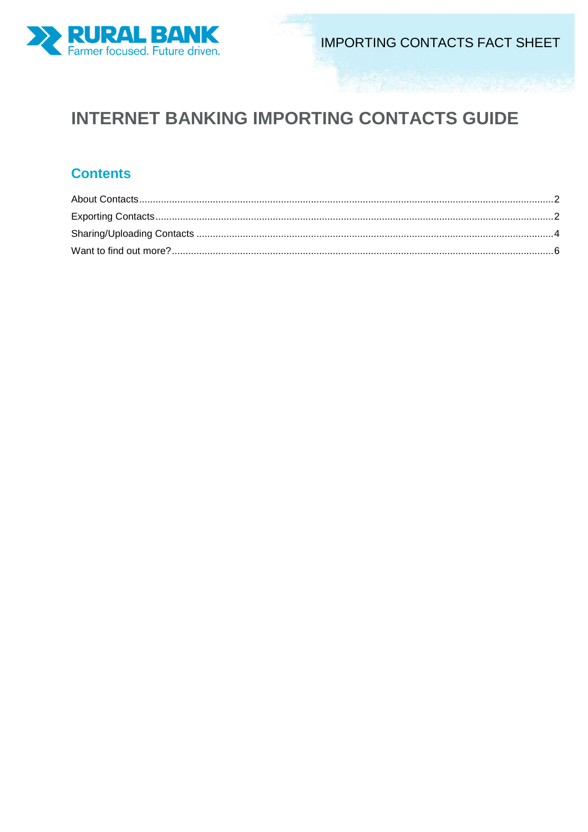

# **INTERNET BANKING IMPORTING CONTACTS GUIDE**

## **Contents**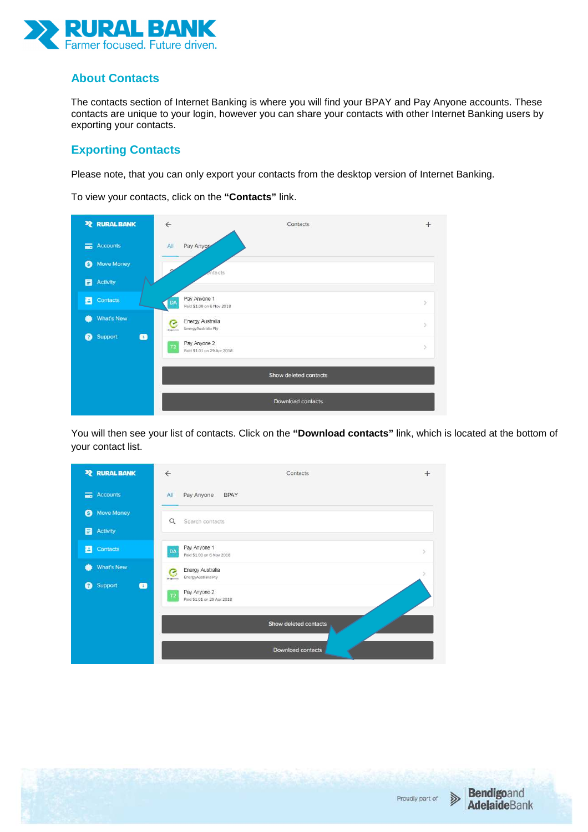

#### **About Contacts**

The contacts section of Internet Banking is where you will find your BPAY and Pay Anyone accounts. These contacts are unique to your login, however you can share your contacts with other Internet Banking users by exporting your contacts.

#### **Exporting Contacts**

Please note, that you can only export your contacts from the desktop version of Internet Banking.

To view your contacts, click on the **"Contacts"** link.



You will then see your list of contacts. Click on the **"Download contacts"** link, which is located at the bottom of your contact list.



Proudly part of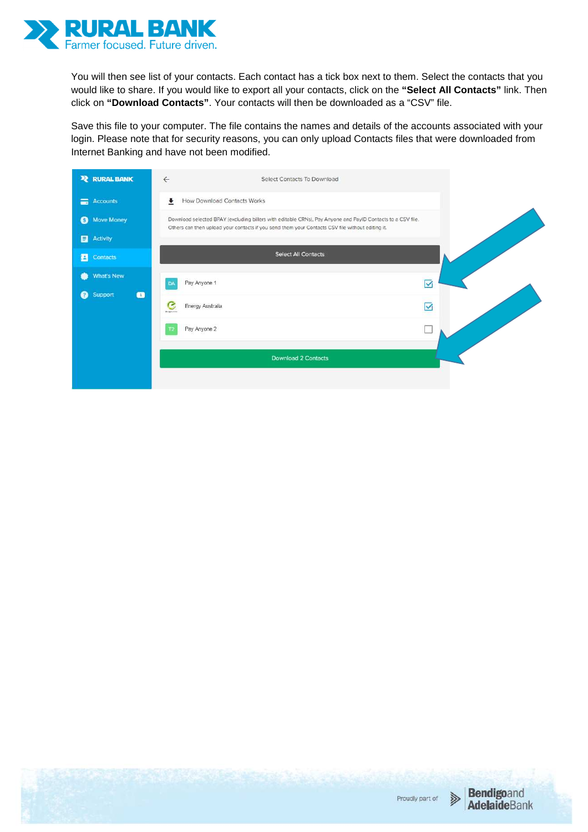

You will then see list of your contacts. Each contact has a tick box next to them. Select the contacts that you would like to share. If you would like to export all your contacts, click on the **"Select All Contacts"** link. Then click on **"Download Contacts"**. Your contacts will then be downloaded as a "CSV" file.

Save this file to your computer. The file contains the names and details of the accounts associated with your login. Please note that for security reasons, you can only upload Contacts files that were downloaded from Internet Banking and have not been modified.

| <b>PE RURAL BANK</b>      | $\leftarrow$<br>Select Contacts To Download                                                                                                                                                                     |                   |
|---------------------------|-----------------------------------------------------------------------------------------------------------------------------------------------------------------------------------------------------------------|-------------------|
| Accounts                  | How Download Contacts Works<br>۰                                                                                                                                                                                |                   |
| Move Money<br>◉           | Download selected BPAY (excluding billers with editable CRNs), Pay Anyone and PayID Contacts to a CSV file.<br>Others can then upload your contacts if you send them your Contacts CSV file without editing it. |                   |
| <b>El</b> Activity        |                                                                                                                                                                                                                 |                   |
| 召<br>Contacts             | <b>Select All Contacts</b>                                                                                                                                                                                      |                   |
| What's New<br>۰           | Pay Anyone 1<br>DA                                                                                                                                                                                              | ☑                 |
| Support<br>$\bullet$<br>๑ | G<br>Energy Australia<br><b>BE HARVESTED</b>                                                                                                                                                                    | $\overline{\vee}$ |
|                           | Pay Anyone 2<br>ТD                                                                                                                                                                                              |                   |
|                           | <b>Download 2 Contacts</b>                                                                                                                                                                                      |                   |
|                           |                                                                                                                                                                                                                 |                   |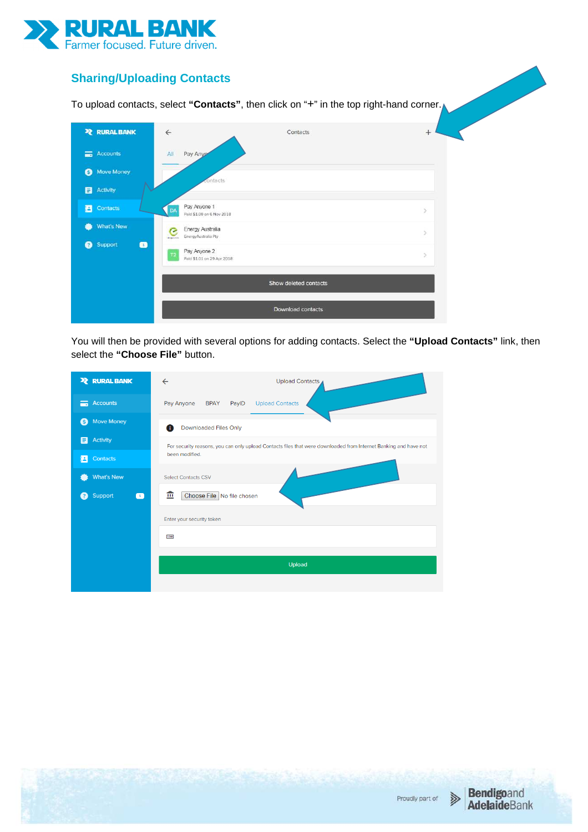

### **Sharing/Uploading Contacts**

To upload contacts, select **"Contacts"**, then click on "+" in the top right-hand corner.

| <b>22 RURAL BANK</b>        | $\leftarrow$                                                    | Contacts              | $+$ |
|-----------------------------|-----------------------------------------------------------------|-----------------------|-----|
| $\equiv$<br><b>Accounts</b> | All<br>Pay Any                                                  |                       |     |
| <b>Move Money</b><br>6      | contacts                                                        |                       |     |
| 8<br><b>Activity</b>        |                                                                 |                       |     |
| 召<br>Contacts               | Pay Anyone 1<br>DA<br>Paid \$1.00 on 6 Nov 2018                 |                       | y   |
| <b>What's New</b><br>æ      | Energy Australia<br>C<br>EnergyAustralia Pty<br><b>Programm</b> |                       | ×   |
| Support<br>€<br>❷           | Pay Anyone 2<br>T2<br>Paid \$1.01 on 29 Apr 2018                |                       | ×   |
|                             |                                                                 | Show deleted contacts |     |
|                             |                                                                 | Download contacts     |     |

You will then be provided with several options for adding contacts. Select the **"Upload Contacts"** link, then select the **"Choose File"** button.

| <b>2 RURAL BANK</b>                         | $\leftarrow$<br><b>Upload Contacts</b>                                                                           |
|---------------------------------------------|------------------------------------------------------------------------------------------------------------------|
| <b>Accounts</b><br>言                        | Pay Anyone<br><b>Upload Contacts</b><br><b>BPAY</b><br>PayID                                                     |
| <b>Move Money</b><br>(S                     | Downloaded Files Only<br>A                                                                                       |
| <b>Activity</b><br>Ε                        | For security reasons, you can only upload Contacts files that were downloaded from Internet Banking and have not |
| Contacts<br>t.                              | been modified.                                                                                                   |
| <b>What's New</b>                           | <b>Select Contacts CSV</b>                                                                                       |
| Support<br>$\blacksquare$<br>$\overline{?}$ | 血<br>Choose File No file chosen                                                                                  |
|                                             | Enter your security token                                                                                        |
|                                             | 1268                                                                                                             |
|                                             |                                                                                                                  |
|                                             | <b>Upload</b>                                                                                                    |
|                                             |                                                                                                                  |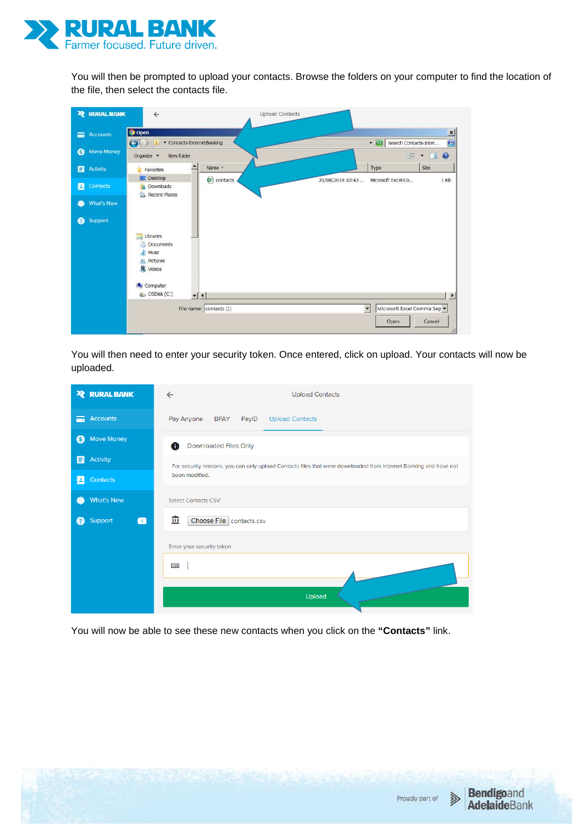

You will then be prompted to upload your contacts. Browse the folders on your computer to find the location of the file, then select the contacts file.

| <b>RURAL BANK</b><br>$\overline{\mathbf{z}}$ | $\leftarrow$                                                    | <b>Upload Contacts</b>                                                    |
|----------------------------------------------|-----------------------------------------------------------------|---------------------------------------------------------------------------|
| Accounts<br>$=$                              | <b>Open</b><br>Contacts-InternetBanking<br>$\Theta$             | $\vert x \vert$<br>• Co Search Contacts-Inter<br>$\vert P \vert$          |
| Move Money<br>€                              | New folder<br>Organize -                                        | $\mathbb{R}$ . To                                                         |
| 目<br>Activity                                | Name -<br>Favorites<br>Desktop                                  | Type<br><b>Sze</b>                                                        |
| 目<br><b>Contacts</b>                         | <b>B</b> <sup>d</sup> contacts<br>Downloads<br>Recent Places    | 21/08/2019 10:43<br>Microsoft Excel Co<br>1 KB                            |
| What's New<br>G                              |                                                                 |                                                                           |
| Support<br>◙                                 |                                                                 |                                                                           |
|                                              | Libraries<br><b>Documents</b><br>$M$ usic<br>Pictures<br>Videos |                                                                           |
|                                              | Computer<br>$\mathbb{Q}$ OSDisk (C:)<br>$-1$                    | $\bullet$                                                                 |
|                                              | File name: contacts (1)                                         | $\overline{\phantom{a}}$<br>Microsoft Excel Comma Sep -<br>Cancel<br>Open |

You will then need to enter your security token. Once entered, click on upload. Your contacts will now be uploaded.

| <b>X</b> RURAL BANK                         | <b>Upload Contacts</b><br>$\leftarrow$                                                                           |
|---------------------------------------------|------------------------------------------------------------------------------------------------------------------|
| <b>Accounts</b><br>A                        | Pay Anyone<br><b>Upload Contacts</b><br><b>BPAY</b><br>PaylD                                                     |
| <b>Move Money</b><br>(S)                    | <b>Downloaded Files Only</b><br>A                                                                                |
| <b>Activity</b><br>E                        | For security reasons, you can only upload Contacts files that were downloaded from Internet Banking and have not |
| <b>Contacts</b><br>E A                      | been modified.                                                                                                   |
| <b>What's New</b>                           | <b>Select Contacts CSV</b>                                                                                       |
| Support<br>$\blacksquare$<br>$\overline{?}$ | 血<br>Choose File contacts.csv                                                                                    |
|                                             | Enter your security token                                                                                        |
|                                             | 1268                                                                                                             |
|                                             | <b>Upload</b>                                                                                                    |

You will now be able to see these new contacts when you click on the **"Contacts"** link.